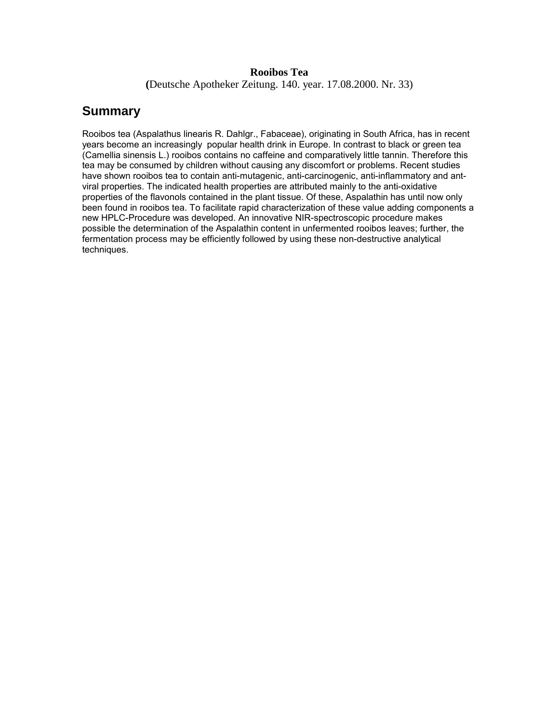#### **Rooibos Tea**

**(**Deutsche Apotheker Zeitung. 140. year. 17.08.2000. Nr. 33)

# **Summary**

Rooibos tea (Aspalathus linearis R. Dahlgr., Fabaceae), originating in South Africa, has in recent years become an increasingly popular health drink in Europe. In contrast to black or green tea (Camellia sinensis L.) rooibos contains no caffeine and comparatively little tannin. Therefore this tea may be consumed by children without causing any discomfort or problems. Recent studies have shown rooibos tea to contain anti-mutagenic, anti-carcinogenic, anti-inflammatory and antviral properties. The indicated health properties are attributed mainly to the anti-oxidative properties of the flavonols contained in the plant tissue. Of these, Aspalathin has until now only been found in rooibos tea. To facilitate rapid characterization of these value adding components a new HPLC-Procedure was developed. An innovative NIR-spectroscopic procedure makes possible the determination of the Aspalathin content in unfermented rooibos leaves; further, the fermentation process may be efficiently followed by using these non-destructive analytical techniques.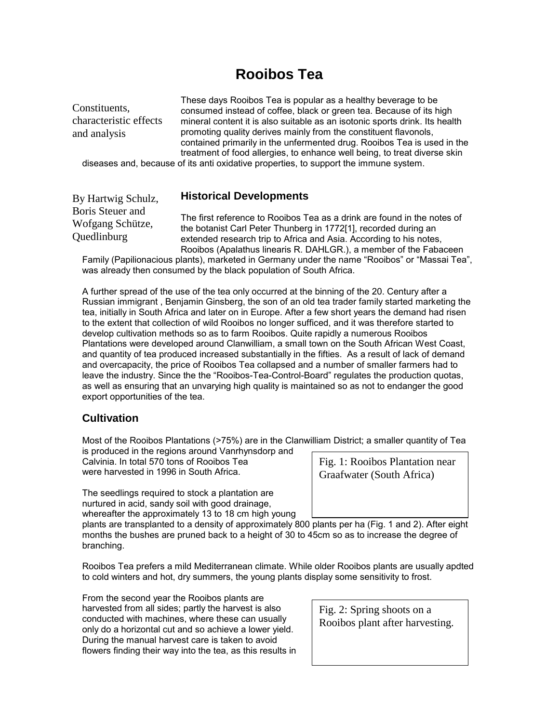# **Rooibos Tea**

| Constituents,<br>characteristic effects<br>and analysis | These days Rooibos Tea is popular as a healthy beverage to be<br>consumed instead of coffee, black or green tea. Because of its high<br>mineral content it is also suitable as an isotonic sports drink. Its health<br>promoting quality derives mainly from the constituent flavonols,<br>contained primarily in the unfermented drug. Rooibos Tea is used in the<br>treatment of food allergies, to enhance well being, to treat diverse skin |
|---------------------------------------------------------|-------------------------------------------------------------------------------------------------------------------------------------------------------------------------------------------------------------------------------------------------------------------------------------------------------------------------------------------------------------------------------------------------------------------------------------------------|
|                                                         | diseases and, because of its anti oxidative properties, to support the immune system.                                                                                                                                                                                                                                                                                                                                                           |
|                                                         |                                                                                                                                                                                                                                                                                                                                                                                                                                                 |
| By Hartwig Schulz,                                      | <b>Historical Developments</b>                                                                                                                                                                                                                                                                                                                                                                                                                  |
| Boris Steuer and<br>Wofgang Schütze,<br>Quedlinburg     | The first reference to Rooibos Tea as a drink are found in the notes of<br>the botanist Carl Peter Thunberg in 1772[1], recorded during an<br>extended research trip to Africa and Asia. According to his notes,<br>Rooibos (Apalathus linearis R. DAHLGR.), a member of the Fabaceen                                                                                                                                                           |

Family (Papilionacious plants), marketed in Germany under the name "Rooibos" or "Massai Tea", was already then consumed by the black population of South Africa.

A further spread of the use of the tea only occurred at the binning of the 20. Century after a Russian immigrant , Benjamin Ginsberg, the son of an old tea trader family started marketing the tea, initially in South Africa and later on in Europe. After a few short years the demand had risen to the extent that collection of wild Rooibos no longer sufficed, and it was therefore started to develop cultivation methods so as to farm Rooibos. Quite rapidly a numerous Rooibos Plantations were developed around Clanwilliam, a small town on the South African West Coast, and quantity of tea produced increased substantially in the fifties. As a result of lack of demand and overcapacity, the price of Rooibos Tea collapsed and a number of smaller farmers had to leave the industry. Since the the "Rooibos-Tea-Control-Board" regulates the production quotas, as well as ensuring that an unvarying high quality is maintained so as not to endanger the good export opportunities of the tea.

# **Cultivation**

Most of the Rooibos Plantations (>75%) are in the Clanwilliam District; a smaller quantity of Tea

is produced in the regions around Vanrhynsdorp and Calvinia. In total 570 tons of Rooibos Tea were harvested in 1996 in South Africa.

The seedlings required to stock a plantation are nurtured in acid, sandy soil with good drainage, whereafter the approximately 13 to 18 cm high young

Fig. 1: Rooibos Plantation near Graafwater (South Africa)

plants are transplanted to a density of approximately 800 plants per ha (Fig. 1 and 2). After eight months the bushes are pruned back to a height of 30 to 45cm so as to increase the degree of branching.

Rooibos Tea prefers a mild Mediterranean climate. While older Rooibos plants are usually apdted to cold winters and hot, dry summers, the young plants display some sensitivity to frost.

From the second year the Rooibos plants are harvested from all sides; partly the harvest is also conducted with machines, where these can usually only do a horizontal cut and so achieve a lower yield. During the manual harvest care is taken to avoid flowers finding their way into the tea, as this results in

Fig. 2: Spring shoots on a Rooibos plant after harvesting.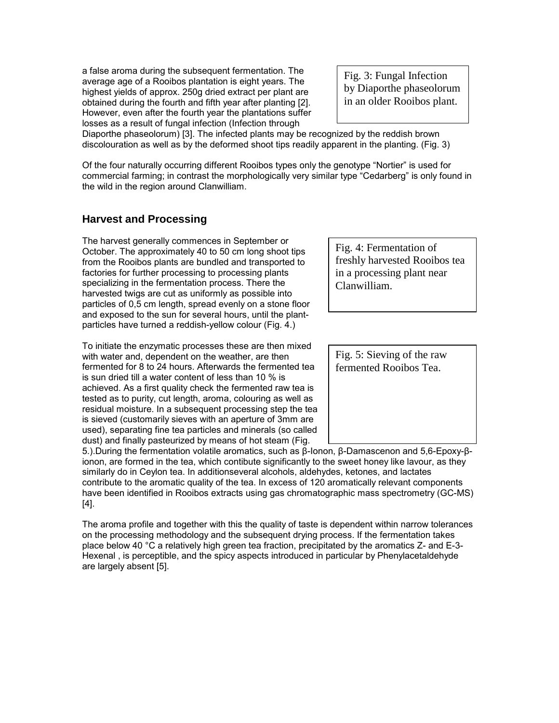a false aroma during the subsequent fermentation. The average age of a Rooibos plantation is eight years. The highest yields of approx. 250g dried extract per plant are obtained during the fourth and fifth year after planting [2]. However, even after the fourth year the plantations suffer losses as a result of fungal infection (Infection through

Fig. 3: Fungal Infection by Diaporthe phaseolorum in an older Rooibos plant.

Diaporthe phaseolorum) [3]. The infected plants may be recognized by the reddish brown discolouration as well as by the deformed shoot tips readily apparent in the planting. (Fig. 3)

Of the four naturally occurring different Rooibos types only the genotype "Nortier" is used for commercial farming; in contrast the morphologically very similar type "Cedarberg" is only found in the wild in the region around Clanwilliam.

#### **Harvest and Processing**

The harvest generally commences in September or October. The approximately 40 to 50 cm long shoot tips from the Rooibos plants are bundled and transported to factories for further processing to processing plants specializing in the fermentation process. There the harvested twigs are cut as uniformly as possible into particles of 0,5 cm length, spread evenly on a stone floor and exposed to the sun for several hours, until the plantparticles have turned a reddish-yellow colour (Fig. 4.)

To initiate the enzymatic processes these are then mixed with water and, dependent on the weather, are then fermented for 8 to 24 hours. Afterwards the fermented tea is sun dried till a water content of less than 10 % is achieved. As a first quality check the fermented raw tea is tested as to purity, cut length, aroma, colouring as well as residual moisture. In a subsequent processing step the tea is sieved (customarily sieves with an aperture of 3mm are used), separating fine tea particles and minerals (so called dust) and finally pasteurized by means of hot steam (Fig.

Fig. 4: Fermentation of freshly harvested Rooibos tea in a processing plant near Clanwilliam.

Fig. 5: Sieving of the raw fermented Rooibos Tea.

5.).During the fermentation volatile aromatics, such as β-Ionon, β-Damascenon and 5,6-Epoxy-βionon, are formed in the tea, which contibute significantly to the sweet honey like lavour, as they similarly do in Ceylon tea. In additionseveral alcohols, aldehydes, ketones, and lactates contribute to the aromatic quality of the tea. In excess of 120 aromatically relevant components have been identified in Rooibos extracts using gas chromatographic mass spectrometry (GC-MS) [4].

The aroma profile and together with this the quality of taste is dependent within narrow tolerances on the processing methodology and the subsequent drying process. If the fermentation takes place below 40 °C a relatively high green tea fraction, precipitated by the aromatics Z- and E-3- Hexenal , is perceptible, and the spicy aspects introduced in particular by Phenylacetaldehyde are largely absent [5].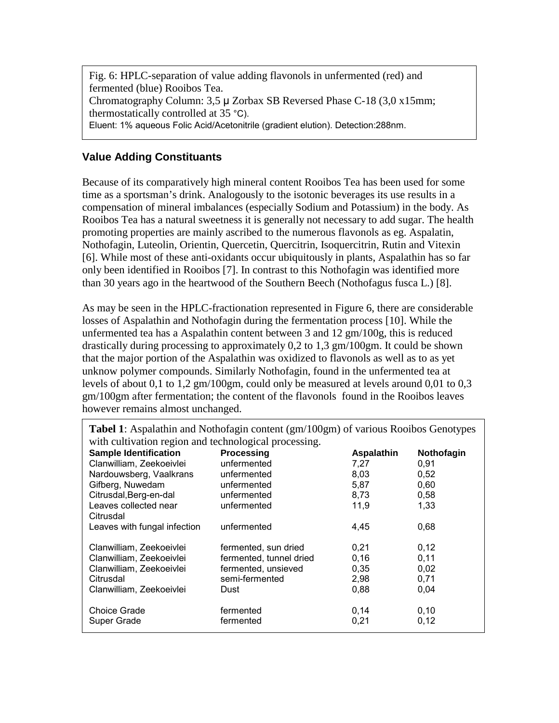Fig. 6: HPLC-separation of value adding flavonols in unfermented (red) and fermented (blue) Rooibos Tea. Chromatography Column: 3,5 µ Zorbax SB Reversed Phase C-18 (3,0 x15mm; thermostatically controlled at 35 °C). Eluent: 1% aqueous Folic Acid/Acetonitrile (gradient elution). Detection:288nm.

#### **Value Adding Constituants**

Because of its comparatively high mineral content Rooibos Tea has been used for some time as a sportsman's drink. Analogously to the isotonic beverages its use results in a compensation of mineral imbalances (especially Sodium and Potassium) in the body. As Rooibos Tea has a natural sweetness it is generally not necessary to add sugar. The health promoting properties are mainly ascribed to the numerous flavonols as eg. Aspalatin, Nothofagin, Luteolin, Orientin, Quercetin, Quercitrin, Isoquercitrin, Rutin and Vitexin [6]. While most of these anti-oxidants occur ubiquitously in plants, Aspalathin has so far only been identified in Rooibos [7]. In contrast to this Nothofagin was identified more than 30 years ago in the heartwood of the Southern Beech (Nothofagus fusca L.) [8].

As may be seen in the HPLC-fractionation represented in Figure 6, there are considerable losses of Aspalathin and Nothofagin during the fermentation process [10]. While the unfermented tea has a Aspalathin content between 3 and  $12 \text{ gm}/100 \text{g}$ , this is reduced drastically during processing to approximately 0,2 to 1,3 gm/100gm. It could be shown that the major portion of the Aspalathin was oxidized to flavonols as well as to as yet unknow polymer compounds. Similarly Nothofagin, found in the unfermented tea at levels of about 0,1 to 1,2 gm/100gm, could only be measured at levels around 0,01 to 0,3 gm/100gm after fermentation; the content of the flavonols found in the Rooibos leaves however remains almost unchanged.

| with cultivation region and technological processing. |                         |                   |            |  |
|-------------------------------------------------------|-------------------------|-------------------|------------|--|
| <b>Sample Identification</b>                          | <b>Processing</b>       | <b>Aspalathin</b> | Nothofagin |  |
| Clanwilliam, Zeekoeivlei                              | unfermented             | 7,27              | 0,91       |  |
| Nardouwsberg, Vaalkrans                               | unfermented             | 8,03              | 0,52       |  |
| Gifberg, Nuwedam                                      | unfermented             | 5,87              | 0,60       |  |
| Citrusdal, Berg-en-dal                                | unfermented             | 8,73              | 0,58       |  |
| Leaves collected near                                 | unfermented             | 11,9              | 1,33       |  |
| Citrusdal                                             |                         |                   |            |  |
| Leaves with fungal infection                          | unfermented             | 4,45              | 0,68       |  |
|                                                       |                         |                   |            |  |
| Clanwilliam, Zeekoeivlei                              | fermented, sun dried    | 0,21              | 0,12       |  |
| Clanwilliam, Zeekoeivlei                              | fermented, tunnel dried | 0,16              | 0,11       |  |
| Clanwilliam, Zeekoeivlei                              | fermented, unsieved     | 0,35              | 0,02       |  |
| Citrusdal                                             | semi-fermented          | 2,98              | 0,71       |  |
| Clanwilliam, Zeekoeivlei                              | Dust                    | 0,88              | 0,04       |  |
|                                                       |                         |                   |            |  |
| <b>Choice Grade</b>                                   | fermented               | 0,14              | 0,10       |  |
| Super Grade                                           | fermented               | 0,21              | 0,12       |  |
|                                                       |                         |                   |            |  |

**Tabel 1**: Aspalathin and Nothofagin content (gm/100gm) of various Rooibos Genotypes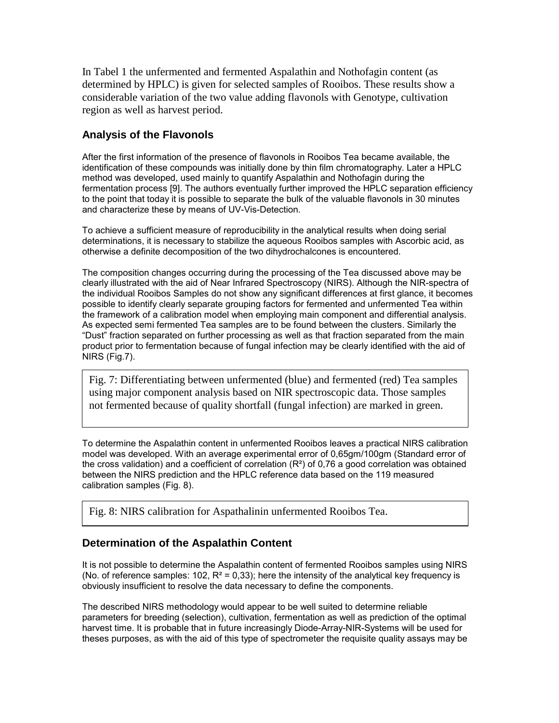In Tabel 1 the unfermented and fermented Aspalathin and Nothofagin content (as determined by HPLC) is given for selected samples of Rooibos. These results show a considerable variation of the two value adding flavonols with Genotype, cultivation region as well as harvest period.

# **Analysis of the Flavonols**

After the first information of the presence of flavonols in Rooibos Tea became available, the identification of these compounds was initially done by thin film chromatography. Later a HPLC method was developed, used mainly to quantify Aspalathin and Nothofagin during the fermentation process [9]. The authors eventually further improved the HPLC separation efficiency to the point that today it is possible to separate the bulk of the valuable flavonols in 30 minutes and characterize these by means of UV-Vis-Detection.

To achieve a sufficient measure of reproducibility in the analytical results when doing serial determinations, it is necessary to stabilize the aqueous Rooibos samples with Ascorbic acid, as otherwise a definite decomposition of the two dihydrochalcones is encountered.

The composition changes occurring during the processing of the Tea discussed above may be clearly illustrated with the aid of Near Infrared Spectroscopy (NIRS). Although the NIR-spectra of the individual Rooibos Samples do not show any significant differences at first glance, it becomes possible to identify clearly separate grouping factors for fermented and unfermented Tea within the framework of a calibration model when employing main component and differential analysis. As expected semi fermented Tea samples are to be found between the clusters. Similarly the "Dust" fraction separated on further processing as well as that fraction separated from the main product prior to fermentation because of fungal infection may be clearly identified with the aid of NIRS (Fig.7).

Fig. 7: Differentiating between unfermented (blue) and fermented (red) Tea samples using major component analysis based on NIR spectroscopic data. Those samples not fermented because of quality shortfall (fungal infection) are marked in green.

To determine the Aspalathin content in unfermented Rooibos leaves a practical NIRS calibration model was developed. With an average experimental error of 0,65gm/100gm (Standard error of the cross validation) and a coefficient of correlation  $(R<sup>2</sup>)$  of 0,76 a good correlation was obtained between the NIRS prediction and the HPLC reference data based on the 119 measured calibration samples (Fig. 8).

Fig. 8: NIRS calibration for Aspathalinin unfermented Rooibos Tea.

# **Determination of the Aspalathin Content**

It is not possible to determine the Aspalathin content of fermented Rooibos samples using NIRS (No. of reference samples:  $102$ ,  $R^2 = 0.33$ ); here the intensity of the analytical key frequency is obviously insufficient to resolve the data necessary to define the components.

The described NIRS methodology would appear to be well suited to determine reliable parameters for breeding (selection), cultivation, fermentation as well as prediction of the optimal harvest time. It is probable that in future increasingly Diode-Array-NIR-Systems will be used for theses purposes, as with the aid of this type of spectrometer the requisite quality assays may be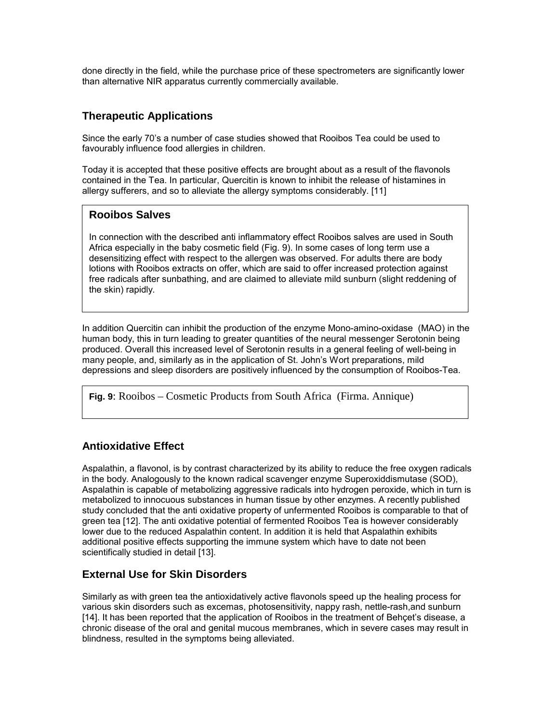done directly in the field, while the purchase price of these spectrometers are significantly lower than alternative NIR apparatus currently commercially available.

# **Therapeutic Applications**

Since the early 70's a number of case studies showed that Rooibos Tea could be used to favourably influence food allergies in children.

Today it is accepted that these positive effects are brought about as a result of the flavonols contained in the Tea. In particular, Quercitin is known to inhibit the release of histamines in allergy sufferers, and so to alleviate the allergy symptoms considerably. [11]

# **Rooibos Salves**

In connection with the described anti inflammatory effect Rooibos salves are used in South Africa especially in the baby cosmetic field (Fig. 9). In some cases of long term use a desensitizing effect with respect to the allergen was observed. For adults there are body lotions with Rooibos extracts on offer, which are said to offer increased protection against free radicals after sunbathing, and are claimed to alleviate mild sunburn (slight reddening of the skin) rapidly.

In addition Quercitin can inhibit the production of the enzyme Mono-amino-oxidase (MAO) in the human body, this in turn leading to greater quantities of the neural messenger Serotonin being produced. Overall this increased level of Serotonin results in a general feeling of well-being in many people, and, similarly as in the application of St. John's Wort preparations, mild depressions and sleep disorders are positively influenced by the consumption of Rooibos-Tea.

**Fig. 9**: Rooibos – Cosmetic Products from South Africa (Firma. Annique)

# **Antioxidative Effect**

Aspalathin, a flavonol, is by contrast characterized by its ability to reduce the free oxygen radicals in the body. Analogously to the known radical scavenger enzyme Superoxiddismutase (SOD), Aspalathin is capable of metabolizing aggressive radicals into hydrogen peroxide, which in turn is metabolized to innocuous substances in human tissue by other enzymes. A recently published study concluded that the anti oxidative property of unfermented Rooibos is comparable to that of green tea [12]. The anti oxidative potential of fermented Rooibos Tea is however considerably lower due to the reduced Aspalathin content. In addition it is held that Aspalathin exhibits additional positive effects supporting the immune system which have to date not been scientifically studied in detail [13].

# **External Use for Skin Disorders**

Similarly as with green tea the antioxidatively active flavonols speed up the healing process for various skin disorders such as excemas, photosensitivity, nappy rash, nettle-rash,and sunburn [14]. It has been reported that the application of Rooibos in the treatment of Behçet's disease, a chronic disease of the oral and genital mucous membranes, which in severe cases may result in blindness, resulted in the symptoms being alleviated.